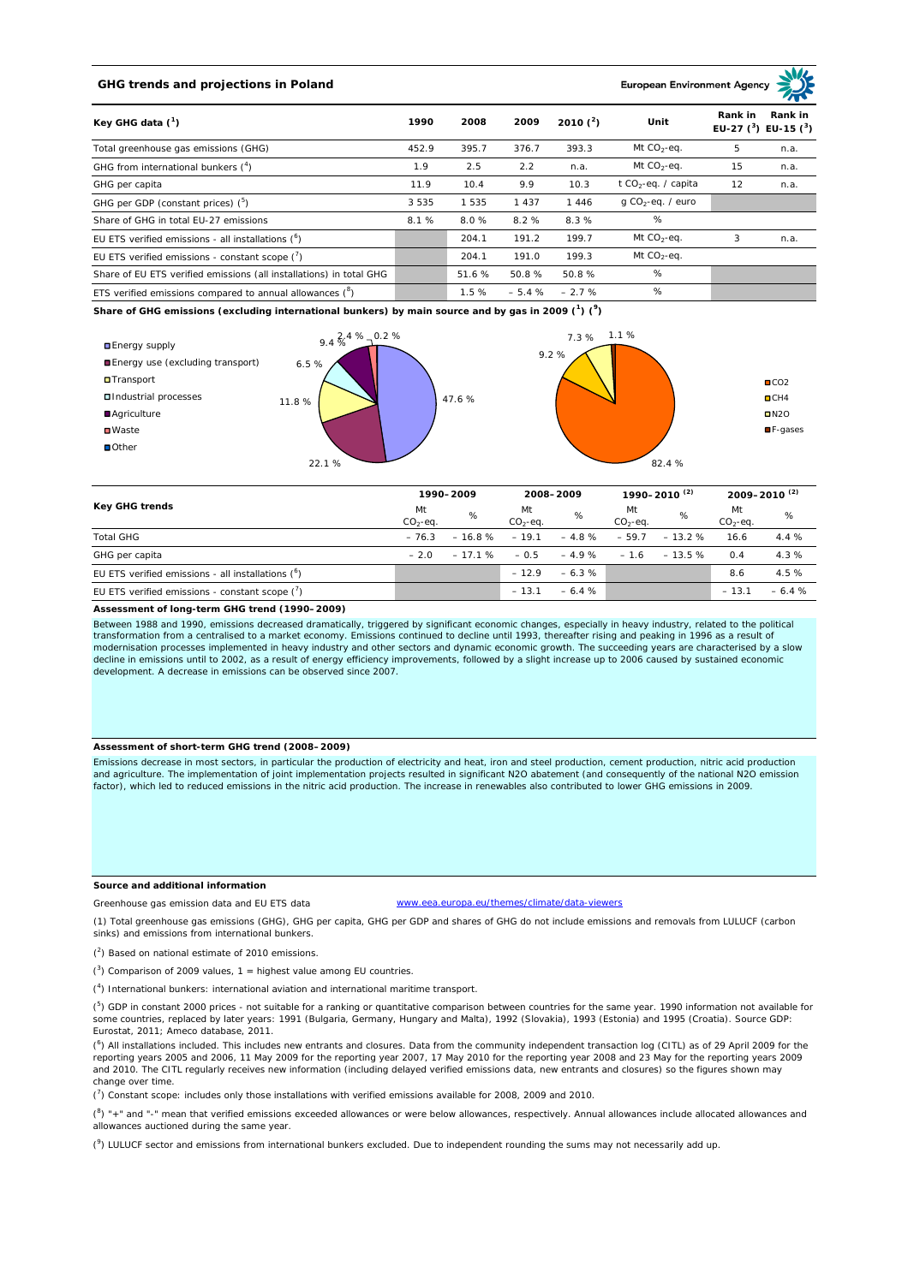# **GHG trends and projections in Poland**

#### **European Environment Ag**

| Key GHG data $(^1)$                                                 | 1990    | 2008  | 2009    | 2010 $(^{2})$ | Unit                            | Rank in<br>Rank in<br>EU-27 $(^3)$ EU-15 $(^3)$ |      |
|---------------------------------------------------------------------|---------|-------|---------|---------------|---------------------------------|-------------------------------------------------|------|
| Total greenhouse gas emissions (GHG)                                | 452.9   | 395.7 | 376.7   | 393.3         | Mt $CO2$ -eq.                   | 5                                               | n.a. |
| GHG from international bunkers $(^4)$                               | 1.9     | 2.5   | 2.2     | n.a.          | Mt $CO_2$ -eq.                  | 15                                              | n.a. |
| GHG per capita                                                      | 11.9    | 10.4  | 9.9     | 10.3          | t CO <sub>2</sub> -eq. / capita | 12                                              | n.a. |
| GHG per GDP (constant prices) $(^5)$                                | 3 5 3 5 | 535   | 1 4 3 7 | 1446          | $q$ CO <sub>2</sub> -eq. / euro |                                                 |      |
| Share of GHG in total EU-27 emissions                               | 8.1%    | 8.0%  | 8.2%    | 8.3%          | %                               |                                                 |      |
| EU ETS verified emissions - all installations $(°)$                 |         | 204.1 | 191.2   | 199.7         | Mt $CO_2$ -eq.                  | 3                                               | n.a. |
| EU ETS verified emissions - constant scope $(\vec{r})$              |         | 204.1 | 191.0   | 199.3         | Mt $CO_2$ -eq.                  |                                                 |      |
| Share of EU ETS verified emissions (all installations) in total GHG |         | 51.6% | 50.8%   | 50.8%         | %                               |                                                 |      |
| ETS verified emissions compared to annual allowances $(^8)$         |         | 1.5%  | $-5.4%$ | $-2.7%$       | %                               |                                                 |      |

**Share of GHG emissions (excluding international bunkers) by main source and by gas in 2009 (<sup>1</sup> ) (<sup>9</sup> )**



| Key GHG trends                                       |                 | 1990-2009 |                  | 2008-2009 |                 | 1990-2010 <sup>(2)</sup> |                   | 2009-2010 <sup>(2)</sup> |  |
|------------------------------------------------------|-----------------|-----------|------------------|-----------|-----------------|--------------------------|-------------------|--------------------------|--|
|                                                      | Mt<br>$CO2-eq.$ | %         | Mt<br>$CO2-ea$ . | %         | Mt<br>$CO2-ea.$ | %                        | Mt<br>$CO2 - eq.$ | %                        |  |
| <b>Total GHG</b>                                     | $-76.3$         | $-16.8%$  | $-19.1$          | $-4.8\%$  | $-59.7$         | $-13.2%$                 | 16.6              | 4.4%                     |  |
| GHG per capita                                       | $-20$           | $-17.1%$  | $-0.5$           | $-4.9%$   | $-1.6$          | $-13.5%$                 | 0.4               | 4.3%                     |  |
| EU ETS verified emissions - all installations $(^6)$ |                 |           | $-12.9$          | $-6.3%$   |                 |                          | 8.6               | 4.5 %                    |  |
| EU ETS verified emissions - constant scope $(7)$     |                 |           | $-13.1$          | $-6.4%$   |                 |                          | $-13.1$           | $-6.4%$                  |  |

#### **Assessment of long-term GHG trend (1990–2009)**

Between 1988 and 1990, emissions decreased dramatically, triggered by significant economic changes, especially in heavy industry, related to the political transformation from a centralised to a market economy. Emissions continued to decline until 1993, thereafter rising and peaking in 1996 as a result of modernisation processes implemented in heavy industry and other sectors and dynamic economic growth. The succeeding years are characterised by a slow<br>decline in emissions until to 2002, as a result of energy efficiency imp development. A decrease in emissions can be observed since 2007.

## **Assessment of short-term GHG trend (2008–2009)**

Emissions decrease in most sectors, in particular the production of electricity and heat, iron and steel production, cement production, nitric acid production and agriculture. The implementation of joint implementation projects resulted in significant N2O abatement (and consequently of the national N2O emission factor), which led to reduced emissions in the nitric acid production. The increase in renewables also contributed to lower GHG emissions in 2009.

## **Source and additional information**

www.eea.europa.eu/themes/climate/data-viewers

(1) Total greenhouse gas emissions (GHG), GHG per capita, GHG per GDP and shares of GHG do not include emissions and removals from LULUCF (carbon sinks) and emissions from international bunkers.

( 2 ) Based on national estimate of 2010 emissions.

Greenhouse gas emission data and EU ETS data

 $(3)$  Comparison of 2009 values, 1 = highest value among EU countries.

( 4 ) International bunkers: international aviation and international maritime transport.

 $(^{5})$  GDP in constant 2000 prices - not suitable for a ranking or quantitative comparison between countries for the same year. 1990 information not available for some countries, replaced by later years: 1991 (Bulgaria, Germany, Hungary and Malta), 1992 (Slovakia), 1993 (Estonia) and 1995 (Croatia). Source GDP: Eurostat, 2011; Ameco database, 2011.

(<sup>6</sup>) All installations included. This includes new entrants and closures. Data from the community independent transaction log (CITL) as of 29 April 2009 for the<br>reporting years 2005 and 2006, 11 May 2009 for the reporting and 2010. The CITL regularly receives new information (including delayed verified emissions data, new entrants and closures) so the figures shown may change over time.

 $\binom{7}{1}$  Constant scope: includes only those installations with verified emissions available for 2008, 2009 and 2010.

 $(^{8}$ ) " $+$ " and "-" mean that verified emissions exceeded allowances or were below allowances, respectively. Annual allowances include allocated allowances and allowances auctioned during the same year.

 $(2)$  LULUCF sector and emissions from international bunkers excluded. Due to independent rounding the sums may not necessarily add up.